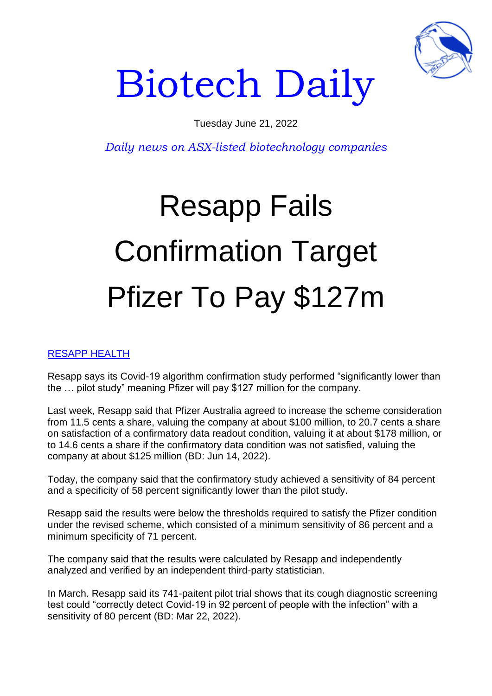

## Biotech Daily

Tuesday June 21, 2022

*Daily news on ASX-listed biotechnology companies*

## Resapp Fails Confirmation Target Pfizer To Pay \$127m

## RESAPP HEALTH

Resapp says its Covid-19 algorithm confirmation study performed "significantly lower than the … pilot study" meaning Pfizer will pay \$127 million for the company.

Last week, Resapp said that Pfizer Australia agreed to increase the scheme consideration from 11.5 cents a share, valuing the company at about \$100 million, to 20.7 cents a share on satisfaction of a confirmatory data readout condition, valuing it at about \$178 million, or to 14.6 cents a share if the confirmatory data condition was not satisfied, valuing the company at about \$125 million (BD: Jun 14, 2022).

Today, the company said that the confirmatory study achieved a sensitivity of 84 percent and a specificity of 58 percent significantly lower than the pilot study.

Resapp said the results were below the thresholds required to satisfy the Pfizer condition under the revised scheme, which consisted of a minimum sensitivity of 86 percent and a minimum specificity of 71 percent.

The company said that the results were calculated by Resapp and independently analyzed and verified by an independent third-party statistician.

In March. Resapp said its 741-paitent pilot trial shows that its cough diagnostic screening test could "correctly detect Covid-19 in 92 percent of people with the infection" with a sensitivity of 80 percent (BD: Mar 22, 2022).